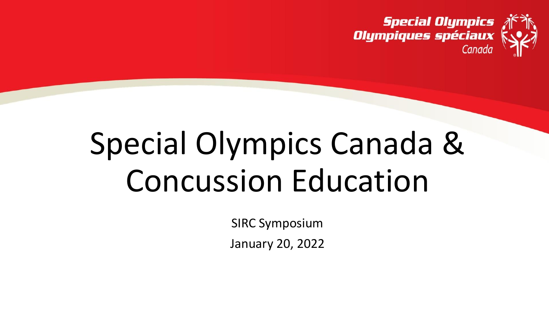

Special Olympics<br>Olympiques spéciaux Canada

# Special Olympics Canada & Concussion Education

SIRC Symposium

January 20, 2022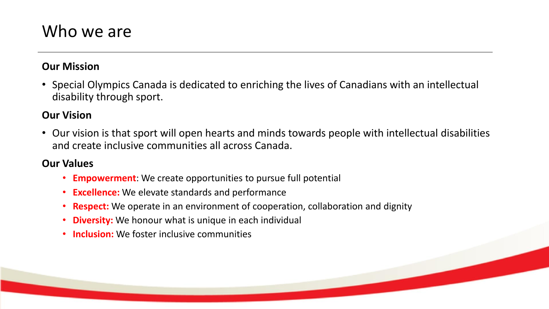## Who we are

#### **Our Mission**

• Special Olympics Canada is dedicated to enriching the lives of Canadians with an intellectual disability through sport.

#### **Our Vision**

• Our vision is that sport will open hearts and minds towards people with intellectual disabilities and create inclusive communities all across Canada.

#### **Our Values**

- **Empowerment**: We create opportunities to pursue full potential
- **Excellence:** We elevate standards and performance
- **Respect:** We operate in an environment of cooperation, collaboration and dignity
- **Diversity:** We honour what is unique in each individual
- **Inclusion:** We foster inclusive communities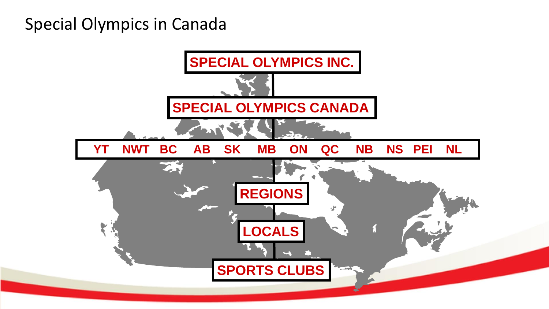## Special Olympics in Canada

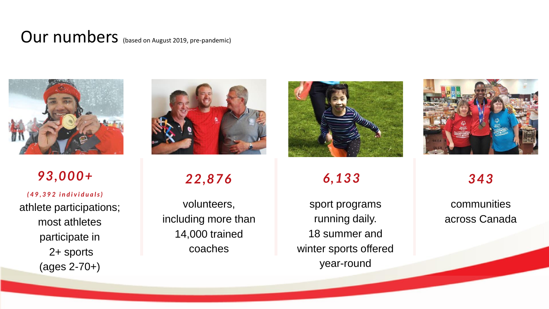#### Our numbers (based on August 2019, pre-pandemic)



athlete participations; most athletes participate in 2+ sports (ages 2-70+) *93,000+ ( 4 9 , 3 9 2 i n d i v i d u a l s )*



*22,876*

volunteers, including more than 14,000 trained coaches



*6,133*

sport programs running daily. 18 summer and winter sports offered year-round



*343*

communities across Canada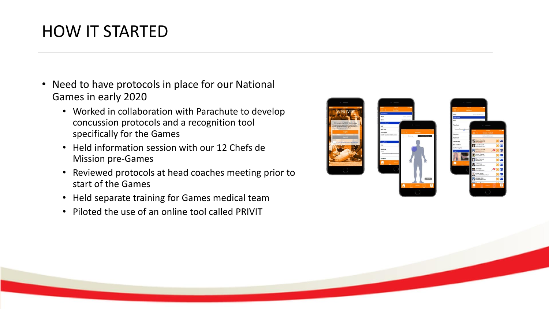# HOW IT STARTED

- Need to have protocols in place for our National Games in early 2020
	- Worked in collaboration with Parachute to develop concussion protocols and a recognition tool specifically for the Games
	- Held information session with our 12 Chefs de Mission pre-Games
	- Reviewed protocols at head coaches meeting prior to start of the Games
	- Held separate training for Games medical team
	- Piloted the use of an online tool called PRIVIT

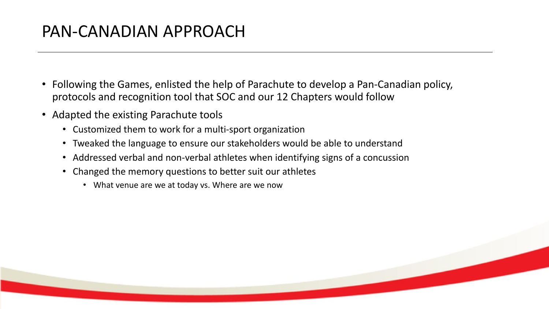## PAN-CANADIAN APPROACH

- Following the Games, enlisted the help of Parachute to develop a Pan-Canadian policy, protocols and recognition tool that SOC and our 12 Chapters would follow
- Adapted the existing Parachute tools
	- Customized them to work for a multi-sport organization
	- Tweaked the language to ensure our stakeholders would be able to understand
	- Addressed verbal and non-verbal athletes when identifying signs of a concussion
	- Changed the memory questions to better suit our athletes
		- What venue are we at today vs. Where are we now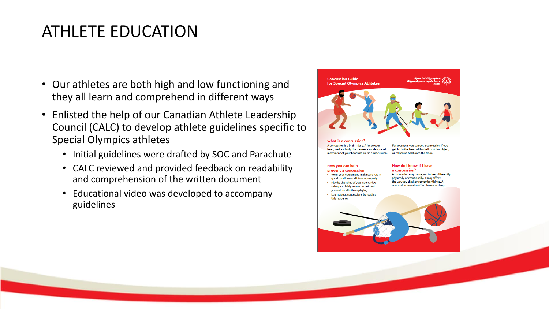# ATHLETE EDUCATION

- Our athletes are both high and low functioning and they all learn and comprehend in different ways
- Enlisted the help of our Canadian Athlete Leadership Council (CALC) to develop athlete guidelines specific to Special Olympics athletes
	- Initial guidelines were drafted by SOC and Parachute
	- CALC reviewed and provided feedback on readability and comprehension of the written document
	- Educational video was developed to accompany guidelines

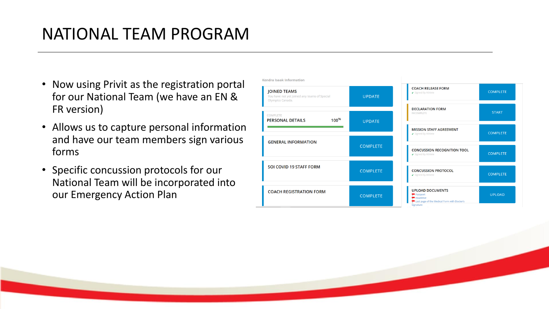## NATIONAL TEAM PROGRAM

- Now using Privit as the registration portal for our National Team (we have an EN & FR version)
- Allows us to capture personal information and have our team members sign various forms
- Specific concussion protocols for our National Team will be incorporated into our Emergency Action Plan

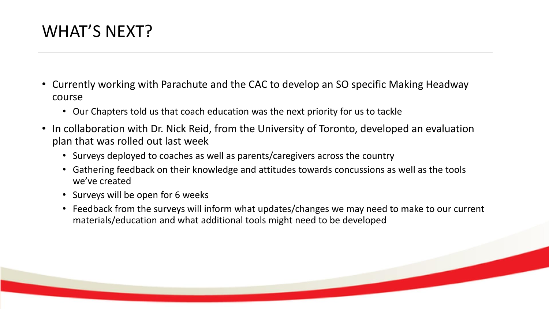# WHAT'S NEXT?

- Currently working with Parachute and the CAC to develop an SO specific Making Headway course
	- Our Chapters told us that coach education was the next priority for us to tackle
- In collaboration with Dr. Nick Reid, from the University of Toronto, developed an evaluation plan that was rolled out last week
	- Surveys deployed to coaches as well as parents/caregivers across the country
	- Gathering feedback on their knowledge and attitudes towards concussions as well as the tools we've created
	- Surveys will be open for 6 weeks
	- Feedback from the surveys will inform what updates/changes we may need to make to our current materials/education and what additional tools might need to be developed